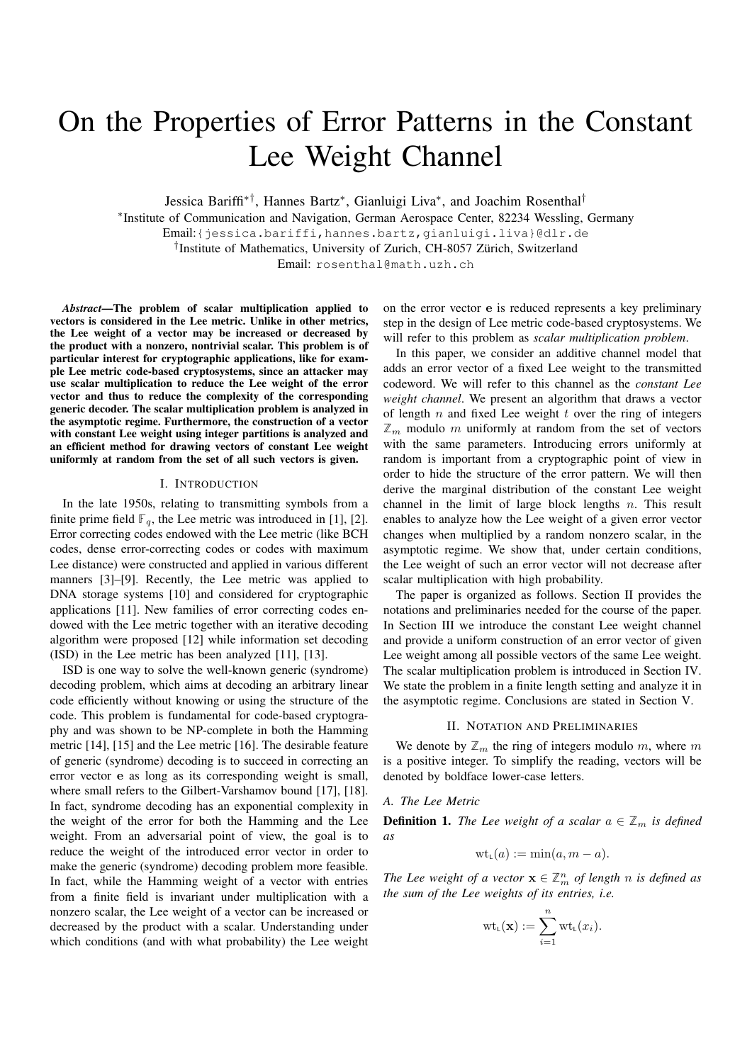# On the Properties of Error Patterns in the Constant Lee Weight Channel

Jessica Bariffi∗†, Hannes Bartz<sup>∗</sup> , Gianluigi Liva<sup>∗</sup> , and Joachim Rosenthal†

∗ Institute of Communication and Navigation, German Aerospace Center, 82234 Wessling, Germany

Email:{jessica.bariffi,hannes.bartz,gianluigi.liva}@dlr.de

† Institute of Mathematics, University of Zurich, CH-8057 Zürich, Switzerland

Email: rosenthal@math.uzh.ch

*Abstract*—The problem of scalar multiplication applied to vectors is considered in the Lee metric. Unlike in other metrics, the Lee weight of a vector may be increased or decreased by the product with a nonzero, nontrivial scalar. This problem is of particular interest for cryptographic applications, like for example Lee metric code-based cryptosystems, since an attacker may use scalar multiplication to reduce the Lee weight of the error vector and thus to reduce the complexity of the corresponding generic decoder. The scalar multiplication problem is analyzed in the asymptotic regime. Furthermore, the construction of a vector with constant Lee weight using integer partitions is analyzed and an efficient method for drawing vectors of constant Lee weight uniformly at random from the set of all such vectors is given.

#### I. INTRODUCTION

In the late 1950s, relating to transmitting symbols from a finite prime field  $\mathbb{F}_q$ , the Lee metric was introduced in [1], [2]. Error correcting codes endowed with the Lee metric (like BCH codes, dense error-correcting codes or codes with maximum Lee distance) were constructed and applied in various different manners [3]–[9]. Recently, the Lee metric was applied to DNA storage systems [10] and considered for cryptographic applications [11]. New families of error correcting codes endowed with the Lee metric together with an iterative decoding algorithm were proposed [12] while information set decoding (ISD) in the Lee metric has been analyzed [11], [13].

ISD is one way to solve the well-known generic (syndrome) decoding problem, which aims at decoding an arbitrary linear code efficiently without knowing or using the structure of the code. This problem is fundamental for code-based cryptography and was shown to be NP-complete in both the Hamming metric [14], [15] and the Lee metric [16]. The desirable feature of generic (syndrome) decoding is to succeed in correcting an error vector e as long as its corresponding weight is small, where small refers to the Gilbert-Varshamov bound [17], [18]. In fact, syndrome decoding has an exponential complexity in the weight of the error for both the Hamming and the Lee weight. From an adversarial point of view, the goal is to reduce the weight of the introduced error vector in order to make the generic (syndrome) decoding problem more feasible. In fact, while the Hamming weight of a vector with entries from a finite field is invariant under multiplication with a nonzero scalar, the Lee weight of a vector can be increased or decreased by the product with a scalar. Understanding under which conditions (and with what probability) the Lee weight

on the error vector e is reduced represents a key preliminary step in the design of Lee metric code-based cryptosystems. We will refer to this problem as *scalar multiplication problem*.

In this paper, we consider an additive channel model that adds an error vector of a fixed Lee weight to the transmitted codeword. We will refer to this channel as the *constant Lee weight channel*. We present an algorithm that draws a vector of length  $n$  and fixed Lee weight  $t$  over the ring of integers  $\mathbb{Z}_m$  modulo m uniformly at random from the set of vectors with the same parameters. Introducing errors uniformly at random is important from a cryptographic point of view in order to hide the structure of the error pattern. We will then derive the marginal distribution of the constant Lee weight channel in the limit of large block lengths  $n$ . This result enables to analyze how the Lee weight of a given error vector changes when multiplied by a random nonzero scalar, in the asymptotic regime. We show that, under certain conditions, the Lee weight of such an error vector will not decrease after scalar multiplication with high probability.

The paper is organized as follows. Section II provides the notations and preliminaries needed for the course of the paper. In Section III we introduce the constant Lee weight channel and provide a uniform construction of an error vector of given Lee weight among all possible vectors of the same Lee weight. The scalar multiplication problem is introduced in Section IV. We state the problem in a finite length setting and analyze it in the asymptotic regime. Conclusions are stated in Section V.

### II. NOTATION AND PRELIMINARIES

We denote by  $\mathbb{Z}_m$  the ring of integers modulo m, where m is a positive integer. To simplify the reading, vectors will be denoted by boldface lower-case letters.

## *A. The Lee Metric*

**Definition 1.** *The Lee weight of a scalar*  $a \in \mathbb{Z}_m$  *is defined as*

$$
\mathrm{wt}_{L}(a) := \min(a, m - a).
$$

*The Lee weight of a vector*  $\mathbf{x} \in \mathbb{Z}_m^n$  *of length n is defined as the sum of the Lee weights of its entries, i.e.*

$$
\mathrm{wt}_{\mathsf{L}}(\mathbf{x}) := \sum_{i=1}^n \mathrm{wt}_{\mathsf{L}}(x_i).
$$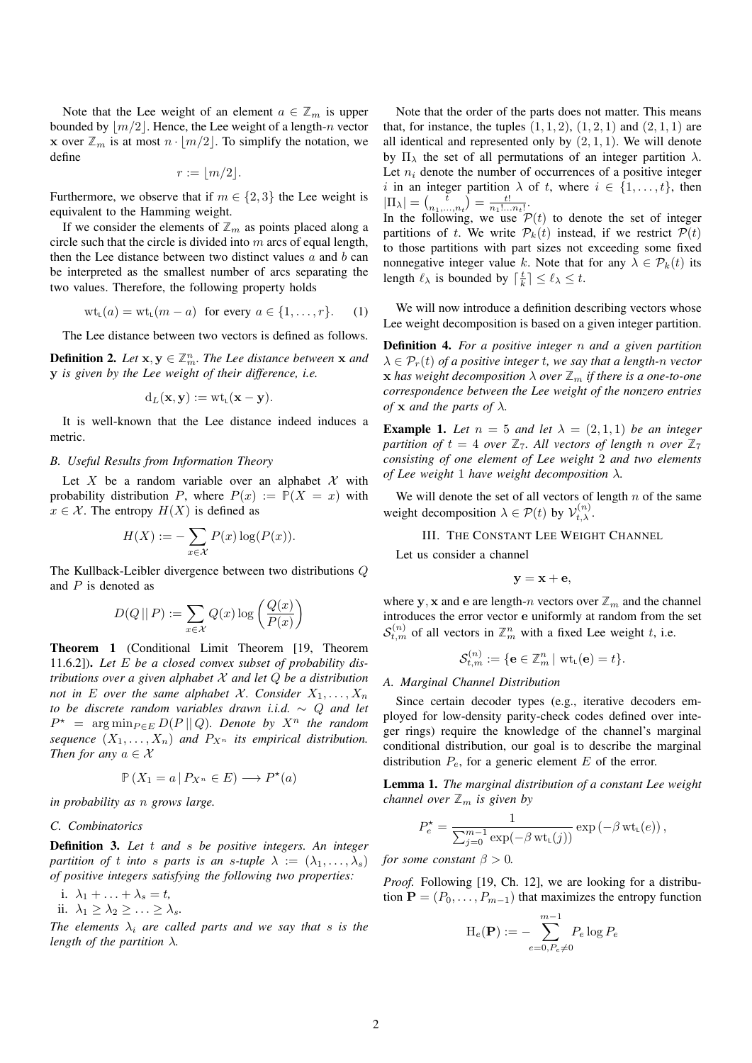Note that the Lee weight of an element  $a \in \mathbb{Z}_m$  is upper bounded by  $|m/2|$ . Hence, the Lee weight of a length-n vector **x** over  $\mathbb{Z}_m$  is at most  $n \cdot \lfloor m/2 \rfloor$ . To simplify the notation, we define

$$
r:=\lfloor m/2\rfloor.
$$

Furthermore, we observe that if  $m \in \{2,3\}$  the Lee weight is equivalent to the Hamming weight.

If we consider the elements of  $\mathbb{Z}_m$  as points placed along a circle such that the circle is divided into  $m$  arcs of equal length, then the Lee distance between two distinct values  $a$  and  $b$  can be interpreted as the smallest number of arcs separating the two values. Therefore, the following property holds

$$
wt_{L}(a) = wt_{L}(m-a) \text{ for every } a \in \{1,\ldots,r\}. \tag{1}
$$

The Lee distance between two vectors is defined as follows.

**Definition 2.** Let  $\mathbf{x}, \mathbf{y} \in \mathbb{Z}_m^n$ . The Lee distance between  $\mathbf{x}$  and y *is given by the Lee weight of their difference, i.e.*

$$
d_L(\mathbf{x}, \mathbf{y}) := \text{wt}_{\mathsf{L}}(\mathbf{x} - \mathbf{y}).
$$

It is well-known that the Lee distance indeed induces a metric.

## *B. Useful Results from Information Theory*

Let X be a random variable over an alphabet X with probability distribution P, where  $P(x) := P(X = x)$  with  $x \in \mathcal{X}$ . The entropy  $H(X)$  is defined as

$$
H(X) := -\sum_{x \in \mathcal{X}} P(x) \log(P(x)).
$$

The Kullback-Leibler divergence between two distributions Q and  $P$  is denoted as

$$
D(Q \,||\, P) := \sum_{x \in \mathcal{X}} Q(x) \log \left( \frac{Q(x)}{P(x)} \right)
$$

Theorem 1 (Conditional Limit Theorem [19, Theorem 11.6.2]). *Let* E *be a closed convex subset of probability distributions over a given alphabet* X *and let* Q *be a distribution not in* E *over the same alphabet X. Consider*  $X_1, \ldots, X_n$ *to be discrete random variables drawn i.i.d.* ∼ Q *and let*  $P^*$  = arg min<sub>P $\in E$ </sub>  $D(P||Q)$ *. Denote by*  $X^n$  *the random sequence*  $(X_1, \ldots, X_n)$  *and*  $P_{X^n}$  *its empirical distribution. Then for any*  $a \in \mathcal{X}$ 

$$
\mathbb{P}\left(X_1 = a \,|\, P_{X^n} \in E\right) \longrightarrow P^\star(a)
$$

*in probability as* n *grows large.*

## *C. Combinatorics*

Definition 3. *Let* t *and* s *be positive integers. An integer partition of t into s parts is an s-tuple*  $\lambda := (\lambda_1, \dots, \lambda_s)$ *of positive integers satisfying the following two properties:*

i.  $\lambda_1 + \ldots + \lambda_s = t$ ,

ii.  $\lambda_1 \geq \lambda_2 \geq \ldots \geq \lambda_s$ .

*The elements*  $\lambda_i$  *are called parts and we say that s is the length of the partition* λ*.*

Note that the order of the parts does not matter. This means that, for instance, the tuples  $(1, 1, 2)$ ,  $(1, 2, 1)$  and  $(2, 1, 1)$  are all identical and represented only by  $(2, 1, 1)$ . We will denote by  $\Pi_{\lambda}$  the set of all permutations of an integer partition  $\lambda$ . Let  $n_i$  denote the number of occurrences of a positive integer i in an integer partition  $\lambda$  of t, where  $i \in \{1, \ldots, t\}$ , then  $|\Pi_{\lambda}| = \left(\frac{\bar{t}}{n_1,...,n_t}\right) = \frac{t!}{n_1!...n_t!}.$ 

In the following, we use  $P(t)$  to denote the set of integer partitions of t. We write  $\mathcal{P}_k(t)$  instead, if we restrict  $\mathcal{P}(t)$ to those partitions with part sizes not exceeding some fixed nonnegative integer value k. Note that for any  $\lambda \in \mathcal{P}_k(t)$  its length  $\ell_{\lambda}$  is bounded by  $\lceil \frac{t}{k} \rceil \leq \ell_{\lambda} \leq t$ .

We will now introduce a definition describing vectors whose Lee weight decomposition is based on a given integer partition.

Definition 4. *For a positive integer* n *and a given partition*  $\lambda \in \mathcal{P}_r(t)$  *of a positive integer t, we say that a length-n vector* **x** has weight decomposition  $\lambda$  over  $\mathbb{Z}_m$  if there is a one-to-one *correspondence between the Lee weight of the nonzero entries of* **x** *and the parts of*  $\lambda$ *.* 

**Example 1.** Let  $n = 5$  and let  $\lambda = (2, 1, 1)$  be an integer *partition of*  $t = 4$  *over*  $\mathbb{Z}_7$ *. All vectors of length n over*  $\mathbb{Z}_7$ *consisting of one element of Lee weight* 2 *and two elements of Lee weight* 1 *have weight decomposition* λ*.*

We will denote the set of all vectors of length  $n$  of the same weight decomposition  $\lambda \in \mathcal{P}(t)$  by  $\mathcal{V}_{t,\lambda}^{(n)}$ .

III. THE CONSTANT LEE WEIGHT CHANNEL

Let us consider a channel

$$
\mathbf{y} = \mathbf{x} + \mathbf{e},
$$

where y, x and e are length-n vectors over  $\mathbb{Z}_m$  and the channel introduces the error vector e uniformly at random from the set  $S_{t,m}^{(n)}$  of all vectors in  $\mathbb{Z}_m^n$  with a fixed Lee weight t, i.e.

$$
\mathcal{S}_{t,m}^{(n)}:=\{\mathbf{e}\in\mathbb{Z}_m^n\,|\,\operatorname{wt}_{\mathsf{L}}(\mathbf{e})=t\}.
$$

### *A. Marginal Channel Distribution*

Since certain decoder types (e.g., iterative decoders employed for low-density parity-check codes defined over integer rings) require the knowledge of the channel's marginal conditional distribution, our goal is to describe the marginal distribution  $P_e$ , for a generic element E of the error.

Lemma 1. *The marginal distribution of a constant Lee weight channel over*  $\mathbb{Z}_m$  *is given by* 

$$
P_e^* = \frac{1}{\sum_{j=0}^{m-1} \exp(-\beta \operatorname{wt}_{\mathsf{L}}(j))} \exp(-\beta \operatorname{wt}_{\mathsf{L}}(e)),
$$

*for some constant*  $\beta > 0$ *.* 

*Proof.* Following [19, Ch. 12], we are looking for a distribution  $\mathbf{P} = (P_0, \dots, P_{m-1})$  that maximizes the entropy function

$$
\mathrm{H}_e(\mathbf{P}) := -\sum_{e=0, P_e \neq 0}^{m-1} P_e \log P_e
$$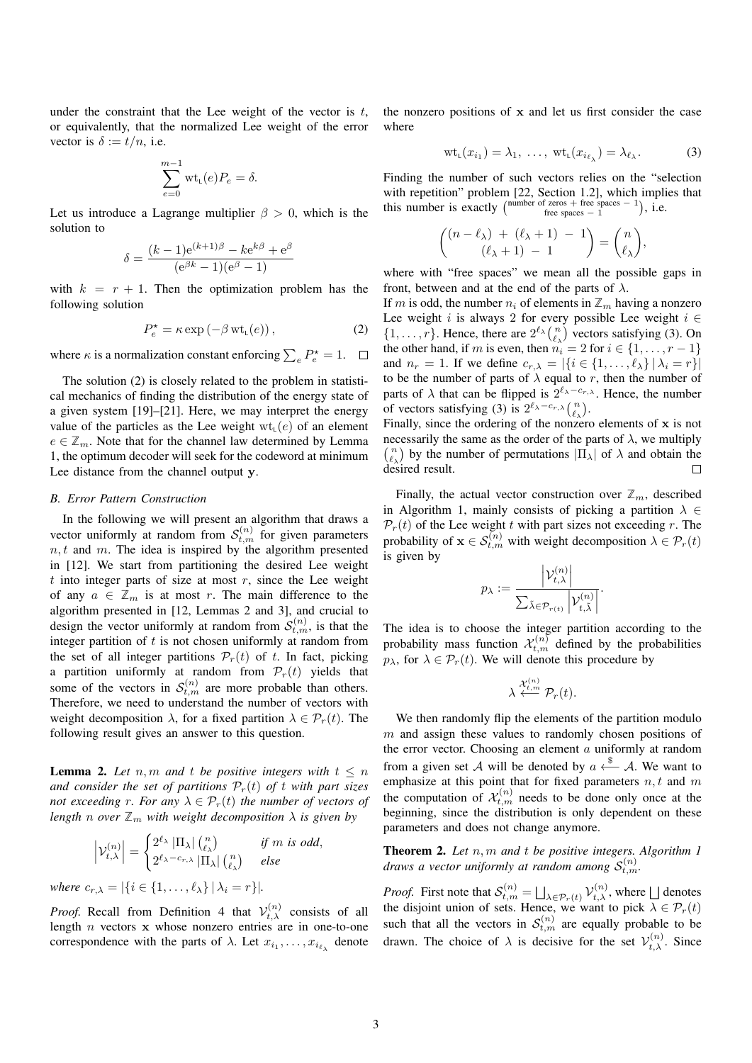under the constraint that the Lee weight of the vector is  $t$ , or equivalently, that the normalized Lee weight of the error vector is  $\delta := t/n$ , i.e.

$$
\sum_{e=0}^{m-1} \text{wt}_{\mathsf{L}}(e) P_e = \delta.
$$

Let us introduce a Lagrange multiplier  $\beta > 0$ , which is the solution to

$$
\delta = \frac{(k-1)e^{(k+1)\beta} - ke^{k\beta} + e^{\beta}}{(e^{\beta k} - 1)(e^{\beta} - 1)}
$$

with  $k = r + 1$ . Then the optimization problem has the following solution

$$
P_e^* = \kappa \exp\left(-\beta \operatorname{wt}_{L}(e)\right),\tag{2}
$$

where  $\kappa$  is a normalization constant enforcing  $\sum_{e} P_e^* = 1$ .

The solution (2) is closely related to the problem in statistical mechanics of finding the distribution of the energy state of a given system [19]–[21]. Here, we may interpret the energy value of the particles as the Lee weight  $wt_{L}(e)$  of an element  $e \in \mathbb{Z}_m$ . Note that for the channel law determined by Lemma 1, the optimum decoder will seek for the codeword at minimum Lee distance from the channel output y.

#### *B. Error Pattern Construction*

In the following we will present an algorithm that draws a vector uniformly at random from  $S_{t,m}^{(n)}$  for given parameters  $n, t$  and m. The idea is inspired by the algorithm presented in [12]. We start from partitioning the desired Lee weight t into integer parts of size at most  $r$ , since the Lee weight of any  $a \in \mathbb{Z}_m$  is at most r. The main difference to the algorithm presented in [12, Lemmas 2 and 3], and crucial to design the vector uniformly at random from  $S_{t,m}^{(n)}$ , is that the integer partition of  $t$  is not chosen uniformly at random from the set of all integer partitions  $\mathcal{P}_r(t)$  of t. In fact, picking a partition uniformly at random from  $\mathcal{P}_r(t)$  yields that some of the vectors in  $S_{t,m}^{(n)}$  are more probable than others. Therefore, we need to understand the number of vectors with weight decomposition  $\lambda$ , for a fixed partition  $\lambda \in \mathcal{P}_r(t)$ . The following result gives an answer to this question.

**Lemma 2.** Let n, m and t be positive integers with  $t \leq n$ *and consider the set of partitions*  $\mathcal{P}_r(t)$  *of t with part sizes not exceeding r. For any*  $\lambda \in \mathcal{P}_r(t)$  *the number of vectors of length n over*  $\mathbb{Z}_m$  *with weight decomposition*  $\lambda$  *is given by* 

$$
\left|\mathcal{V}_{t,\lambda}^{(n)}\right| = \begin{cases} 2^{\ell_{\lambda}} \left|\Pi_{\lambda}\right| {n \choose \ell_{\lambda}} & \text{if } m \text{ is odd,} \\ 2^{\ell_{\lambda} - c_{r,\lambda}} \left|\Pi_{\lambda}\right| {n \choose \ell_{\lambda}} & \text{else} \end{cases}
$$
  
where  $c_{r,\lambda} = |\{i \in \{1, ..., \ell_{\lambda}\} | \lambda_i = r\}|$ .

*Proof.* Recall from Definition 4 that  $V_{t,\lambda}^{(n)}$  consists of all length  $n$  vectors  $x$  whose nonzero entries are in one-to-one correspondence with the parts of  $\lambda$ . Let  $x_{i_1}, \ldots, x_{i_{\ell_{\lambda}}}$  denote the nonzero positions of  $x$  and let us first consider the case where

$$
\operatorname{wt}_{\mathsf{L}}(x_{i_1}) = \lambda_1, \ \ldots, \ \operatorname{wt}_{\mathsf{L}}(x_{i_{\ell_{\lambda}}}) = \lambda_{\ell_{\lambda}}.
$$
 (3)

Finding the number of such vectors relies on the "selection with repetition" problem [22, Section 1.2], which implies that this number is exactly  $\begin{pmatrix} \text{number of zeros} + \text{free spaces} - 1 \\ \text{free spaces} - 1 \end{pmatrix}$ , i.e.

$$
\binom{(n-\ell_\lambda)+(\ell_\lambda+1)-1}{(\ell_\lambda+1)-1}=\binom{n}{\ell_\lambda},
$$

where with "free spaces" we mean all the possible gaps in front, between and at the end of the parts of  $\lambda$ .

If m is odd, the number  $n_i$  of elements in  $\mathbb{Z}_m$  having a nonzero Lee weight i is always 2 for every possible Lee weight  $i \in$  $\{1, \ldots, r\}$ . Hence, there are  $2^{\ell_{\lambda}} {n \choose \ell_{\lambda}}$  vectors satisfying (3). On the other hand, if m is even, then  $n_i = 2$  for  $i \in \{1, \ldots, r-1\}$ and  $n_r = 1$ . If we define  $c_{r,\lambda} = |\{i \in \{1, \dots, \ell_\lambda\} | \lambda_i = r\}|$ to be the number of parts of  $\lambda$  equal to r, then the number of parts of  $\lambda$  that can be flipped is  $2^{\ell_{\lambda}-c_{r,\lambda}}$ . Hence, the number of vectors satisfying (3) is  $2^{\ell_{\lambda}-c_{r,\lambda}} \binom{n}{\ell_{\lambda}}$ .

Finally, since the ordering of the nonzero elements of x is not necessarily the same as the order of the parts of  $\lambda$ , we multiply  $\binom{n}{\ell_{\lambda}}$  by the number of permutations  $|\Pi_{\lambda}|$  of  $\lambda$  and obtain the desired result.  $\Box$ 

Finally, the actual vector construction over  $\mathbb{Z}_m$ , described in Algorithm 1, mainly consists of picking a partition  $\lambda \in$  $\mathcal{P}_r(t)$  of the Lee weight t with part sizes not exceeding r. The probability of  $\mathbf{x} \in \mathcal{S}_{t,m}^{(n)}$  with weight decomposition  $\lambda \in \mathcal{P}_r(t)$ is given by

$$
p_{\lambda} := \frac{\left|\mathcal{V}_{t,\lambda}^{(n)}\right|}{\sum_{\tilde{\lambda} \in \mathcal{P}_{r(t)}} \left|\mathcal{V}_{t,\tilde{\lambda}}^{(n)}\right|}.
$$

The idea is to choose the integer partition according to the probability mass function  $\mathcal{X}_{t,m}^{(n)}$  defined by the probabilities  $p_{\lambda}$ , for  $\lambda \in \mathcal{P}_r(t)$ . We will denote this procedure by

$$
\lambda \stackrel{\mathcal{X}^{(n)}_{t,m}}{\longleftarrow} \mathcal{P}_r(t).
$$

We then randomly flip the elements of the partition modulo  $m$  and assign these values to randomly chosen positions of the error vector. Choosing an element  $a$  uniformly at random from a given set A will be denoted by  $a \stackrel{\$}{\leftarrow} A$ . We want to emphasize at this point that for fixed parameters  $n, t$  and  $m$ the computation of  $\mathcal{X}_{t,m}^{(n)}$  needs to be done only once at the beginning, since the distribution is only dependent on these parameters and does not change anymore.

Theorem 2. *Let* n, m *and* t *be positive integers. Algorithm 1 draws a vector uniformly at random among*  $S_{t,m}^{(n)}$ .

*Proof.* First note that  $S_{t,m}^{(n)} = \bigsqcup_{\lambda \in \mathcal{P}_r(t)} \mathcal{V}_{t,\lambda}^{(n)}$ , where  $\bigsqcup$  denotes the disjoint union of sets. Hence, we want to pick  $\lambda \in \mathcal{P}_r(t)$ such that all the vectors in  $S_{t,m}^{(n)}$  are equally probable to be drawn. The choice of  $\lambda$  is decisive for the set  $\mathcal{V}_{t,\lambda}^{(n)}$ . Since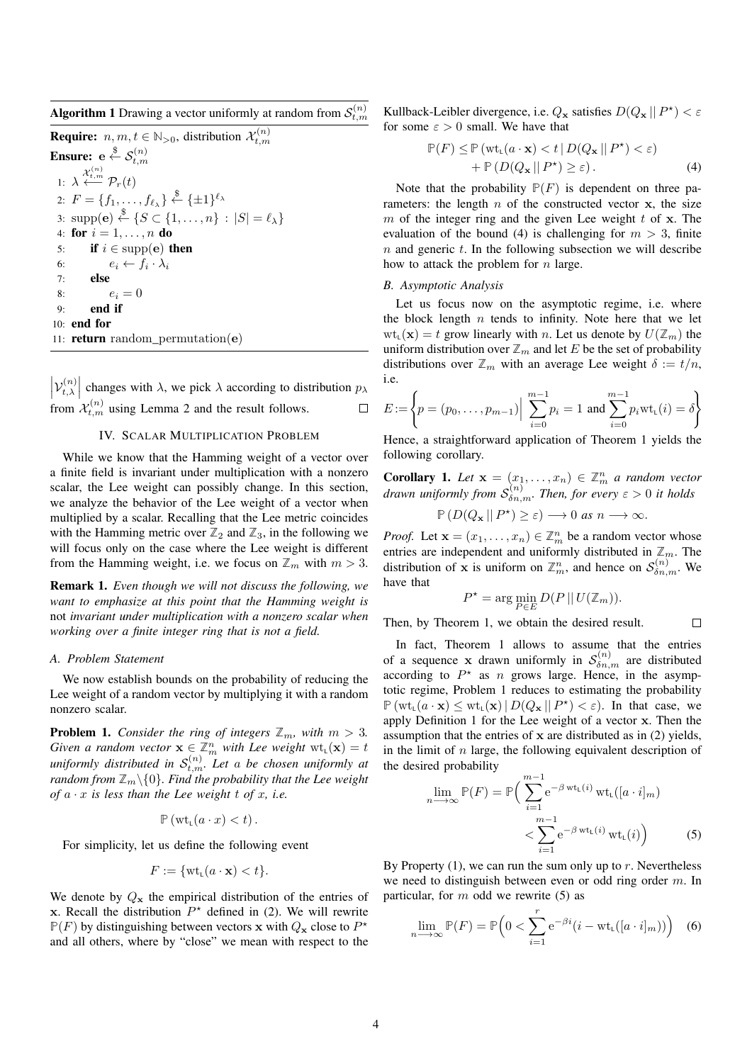**Algorithm 1** Drawing a vector uniformly at random from  $\mathcal{S}_{t,m}^{(n)}$ 

**Require:**  $n, m, t \in \mathbb{N}_{>0}$ , distribution  $\mathcal{X}_{t,m}^{(n)}$ Ensure:  $\mathrm{e}\overset{\$}{\leftarrow}\mathcal{S}^{(n)}_{t,m}$ 1:  $\lambda \stackrel{\mathcal{X}^{(n)}_{t,m}}{\longleftarrow} \mathcal{P}_r(t)$ 2:  $F = \{f_1, \ldots, f_{\ell_{\lambda}}\} \stackrel{\$}{\leftarrow} \{\pm 1\}^{\ell_{\lambda}}$ 3:  $\text{supp}(\mathbf{e}) \stackrel{\$}{\leftarrow} \{S \subset \{1, \ldots, n\} : |S| = \ell_{\lambda}\}\$ 4: for  $i = 1, ..., n$  do 5: if  $i \in \text{supp}(\mathbf{e})$  then 6:  $e_i \leftarrow f_i \cdot \lambda_i$ 7: else 8:  $e_i = 0$ 9: end if 10: end for 11: **return** random permutation( $e$ )

 $\left|\mathcal{V}_{t,\lambda}^{(n)}\right|$  $t^{(n)}_{t,\lambda}$  changes with  $\lambda$ , we pick  $\lambda$  according to distribution  $p_{\lambda}$ from  $\mathcal{X}_{t,m}^{(n)}$  using Lemma 2 and the result follows.

# IV. SCALAR MULTIPLICATION PROBLEM

While we know that the Hamming weight of a vector over a finite field is invariant under multiplication with a nonzero scalar, the Lee weight can possibly change. In this section, we analyze the behavior of the Lee weight of a vector when multiplied by a scalar. Recalling that the Lee metric coincides with the Hamming metric over  $\mathbb{Z}_2$  and  $\mathbb{Z}_3$ , in the following we will focus only on the case where the Lee weight is different from the Hamming weight, i.e. we focus on  $\mathbb{Z}_m$  with  $m > 3$ .

Remark 1. *Even though we will not discuss the following, we want to emphasize at this point that the Hamming weight is* not *invariant under multiplication with a nonzero scalar when working over a finite integer ring that is not a field.*

## *A. Problem Statement*

We now establish bounds on the probability of reducing the Lee weight of a random vector by multiplying it with a random nonzero scalar.

**Problem 1.** *Consider the ring of integers*  $\mathbb{Z}_m$ *, with*  $m > 3$ *. Given a random vector*  $\mathbf{x} \in \mathbb{Z}_m^n$  *with Lee weight*  $\text{wt}_{\mathsf{L}}(\mathbf{x}) = t$ uniformly distributed in  $\mathcal{S}_{t,m}^{(n)}$ . Let a be chosen uniformly at *random from*  $\mathbb{Z}_m \backslash \{0\}$ *. Find the probability that the Lee weight of*  $a \cdot x$  *is less than the Lee weight t of x, i.e.* 

$$
\mathbb{P}\left(\mathrm{wt}_{\mathsf{L}}(a\cdot x)
$$

For simplicity, let us define the following event

$$
F := \{ \text{wt}_{\mathsf{L}}(a \cdot \mathbf{x}) < t \}.
$$

We denote by  $Q_x$  the empirical distribution of the entries of x. Recall the distribution  $P^*$  defined in (2). We will rewrite  $P(F)$  by distinguishing between vectors x with  $Q_x$  close to  $P^*$ and all others, where by "close" we mean with respect to the

Kullback-Leibler divergence, i.e.  $Q_x$  satisfies  $D(Q_x || P^*) < \varepsilon$ for some  $\varepsilon > 0$  small. We have that

$$
\mathbb{P}(F) \le \mathbb{P} \left( \text{wt}_{L}(a \cdot \mathbf{x}) < t \, | \, D(Q_{\mathbf{x}} \, || \, P^{\star}) < \varepsilon \right) \\
\quad + \mathbb{P} \left( D(Q_{\mathbf{x}} \, || \, P^{\star}) \ge \varepsilon \right). \tag{4}
$$

Note that the probability  $P(F)$  is dependent on three parameters: the length  $n$  of the constructed vector  $x$ , the size m of the integer ring and the given Lee weight  $t$  of  $x$ . The evaluation of the bound (4) is challenging for  $m > 3$ , finite  $n$  and generic  $t$ . In the following subsection we will describe how to attack the problem for  $n$  large.

### *B. Asymptotic Analysis*

Let us focus now on the asymptotic regime, i.e. where the block length  $n$  tends to infinity. Note here that we let  $wt_1(\mathbf{x}) = t$  grow linearly with n. Let us denote by  $U(\mathbb{Z}_m)$  the uniform distribution over  $\mathbb{Z}_m$  and let E be the set of probability distributions over  $\mathbb{Z}_m$  with an average Lee weight  $\delta := t/n$ , i.e.

$$
E := \left\{ p = (p_0, \dots, p_{m-1}) \Big| \sum_{i=0}^{m-1} p_i = 1 \text{ and } \sum_{i=0}^{m-1} p_i \text{wt}_{\mathsf{L}}(i) = \delta \right\}
$$

Hence, a straightforward application of Theorem 1 yields the following corollary.

**Corollary 1.** Let  $\mathbf{x} = (x_1, \dots, x_n) \in \mathbb{Z}_m^n$  a random vector *drawn uniformly from*  $S_{\delta n,m}^{(n)}$ . Then, for every  $\varepsilon > 0$  it holds

$$
\mathbb{P}\left(D(Q_{\mathbf{x}} \,||\, P^{\star}\right) \geq \varepsilon\right) \longrightarrow 0 \text{ as } n \longrightarrow \infty.
$$

*Proof.* Let  $\mathbf{x} = (x_1, \dots, x_n) \in \mathbb{Z}_m^n$  be a random vector whose entries are independent and uniformly distributed in  $\mathbb{Z}_m$ . The distribution of **x** is uniform on  $\mathbb{Z}_m^n$ , and hence on  $\mathcal{S}_{\delta n,m}^{(n)}$ . We have that

$$
P^* = \arg\min_{P \in E} D(P || U(\mathbb{Z}_m)).
$$

 $\Box$ 

Then, by Theorem 1, we obtain the desired result.

In fact, Theorem 1 allows to assume that the entries of a sequence x drawn uniformly in  $S_{\delta n,m}^{(n)}$  are distributed according to  $P^*$  as n grows large. Hence, in the asymptotic regime, Problem 1 reduces to estimating the probability  $\mathbb{P}(\mathrm{wt}_{\mathsf{L}}(a \cdot \mathbf{x}) \leq \mathrm{wt}_{\mathsf{L}}(\mathbf{x}) \mid D(Q_{\mathbf{x}} \mid | P^{\star}) < \varepsilon)$ . In that case, we apply Definition 1 for the Lee weight of a vector x. Then the assumption that the entries of  $x$  are distributed as in  $(2)$  yields, in the limit of  $n$  large, the following equivalent description of the desired probability

$$
\lim_{n \to \infty} \mathbb{P}(F) = \mathbb{P}\Big(\sum_{i=1}^{m-1} e^{-\beta \operatorname{wt}_{\mathsf{L}}(i)} \operatorname{wt}_{\mathsf{L}}([a \cdot i]_m) \times \sum_{i=1}^{m-1} e^{-\beta \operatorname{wt}_{\mathsf{L}}(i)} \operatorname{wt}_{\mathsf{L}}(i)\Big) \tag{5}
$$

By Property  $(1)$ , we can run the sum only up to r. Nevertheless we need to distinguish between even or odd ring order m. In particular, for  $m$  odd we rewrite (5) as

$$
\lim_{n \to \infty} \mathbb{P}(F) = \mathbb{P}\Big(0 < \sum_{i=1}^{r} e^{-\beta i} \big(i - \text{wt}_{\text{L}}([a \cdot i]_m)\big)\Big) \tag{6}
$$